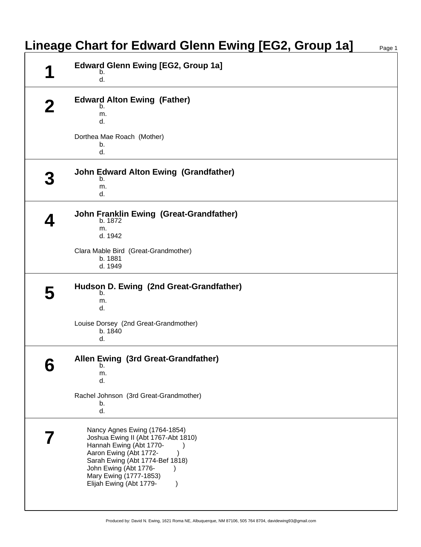| <b>Lineage Chart for Edward Glenn Ewing [EG2, Group 1a]</b><br>Page 1 |                                                                                                                                                                                                                                                                          |  |
|-----------------------------------------------------------------------|--------------------------------------------------------------------------------------------------------------------------------------------------------------------------------------------------------------------------------------------------------------------------|--|
|                                                                       | <b>Edward Glenn Ewing [EG2, Group 1a]</b><br>b.<br>d.                                                                                                                                                                                                                    |  |
|                                                                       | <b>Edward Alton Ewing (Father)</b><br>b.<br>m.<br>d.                                                                                                                                                                                                                     |  |
|                                                                       | Dorthea Mae Roach (Mother)<br>b.<br>d.                                                                                                                                                                                                                                   |  |
|                                                                       | <b>John Edward Alton Ewing (Grandfather)</b><br>b.<br>m.<br>d.                                                                                                                                                                                                           |  |
|                                                                       | John Franklin Ewing (Great-Grandfather)<br>b. 1872<br>m.<br>d. 1942                                                                                                                                                                                                      |  |
|                                                                       | Clara Mable Bird (Great-Grandmother)<br>b. 1881<br>d. 1949                                                                                                                                                                                                               |  |
|                                                                       | Hudson D. Ewing (2nd Great-Grandfather)<br>b.<br>m.<br>d.                                                                                                                                                                                                                |  |
|                                                                       | Louise Dorsey (2nd Great-Grandmother)<br>b. 1840<br>d.                                                                                                                                                                                                                   |  |
|                                                                       | Allen Ewing (3rd Great-Grandfather)<br>m.<br>d.                                                                                                                                                                                                                          |  |
|                                                                       | Rachel Johnson (3rd Great-Grandmother)<br>b.<br>d.                                                                                                                                                                                                                       |  |
|                                                                       | Nancy Agnes Ewing (1764-1854)<br>Joshua Ewing II (Abt 1767-Abt 1810)<br>Hannah Ewing (Abt 1770-<br>Aaron Ewing (Abt 1772-<br>$\lambda$<br>Sarah Ewing (Abt 1774-Bef 1818)<br>John Ewing (Abt 1776-<br>Mary Ewing (1777-1853)<br>Elijah Ewing (Abt 1779-<br>$\mathcal{E}$ |  |